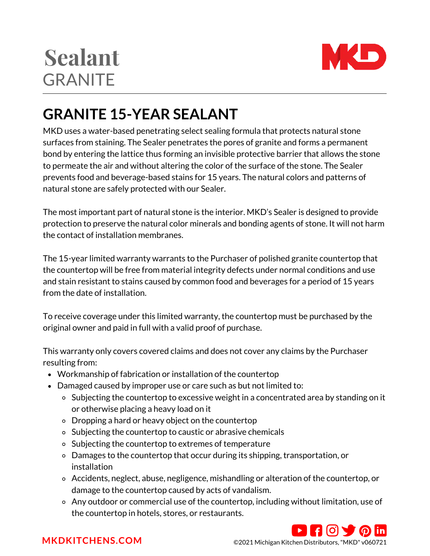# **Sealant GRANITE**



## **GRANITE 15-YEAR SEALANT**

MKD uses a water-based penetrating select sealing formula that protects natural stone surfaces from staining. The Sealer penetrates the pores of granite and forms a permanent bond by entering the lattice thus forming an invisible protective barrier that allows the stone to permeate the air and without altering the color of the surface of the stone. The Sealer prevents food and beverage-based stains for 15 years. The natural colors and patterns of natural stone are safely protected with our Sealer.

The most important part of natural stone is the interior. MKD's Sealer is designed to provide protection to preserve the natural color minerals and bonding agents of stone. It will not harm the contact of installation membranes.

The 15-year limited warranty warrants to the Purchaser of polished granite countertop that the countertop will be free from material integrity defects under normal conditions and use and stain resistant to stains caused by common food and beverages for a period of 15 years from the date of installation.

To receive coverage under this limited warranty, the countertop must be purchased by the original owner and paid in full with a valid proof of purchase.

This warranty only covers covered claims and does not cover any claims by the Purchaser resulting from:

- Workmanship of fabrication or installation of the countertop
- Damaged caused by improper use or care such as but not limited to:
	- o Subjecting the countertop to excessive weight in a concentrated area by standing on it or otherwise placing a heavy load on it
	- Dropping a hard or heavy object on the countertop
	- o Subjecting the countertop to caustic or abrasive chemicals
	- o Subjecting the countertop to extremes of temperature
	- Damages to the countertop that occur during its shipping, transportation, or installation
	- Accidents, neglect, abuse, negligence, mishandling or alteration of the countertop, or damage to the countertop caused by acts of vandalism.
	- Any outdoor or commercial use of the countertop, including without limitation, use of the countertop in hotels, stores, or restaurants.



**[MKDKITCHENS.COM](http://mkdkitchens.com/)** ©2021 Michigan Kitchen Distributors, "MKD" v060721